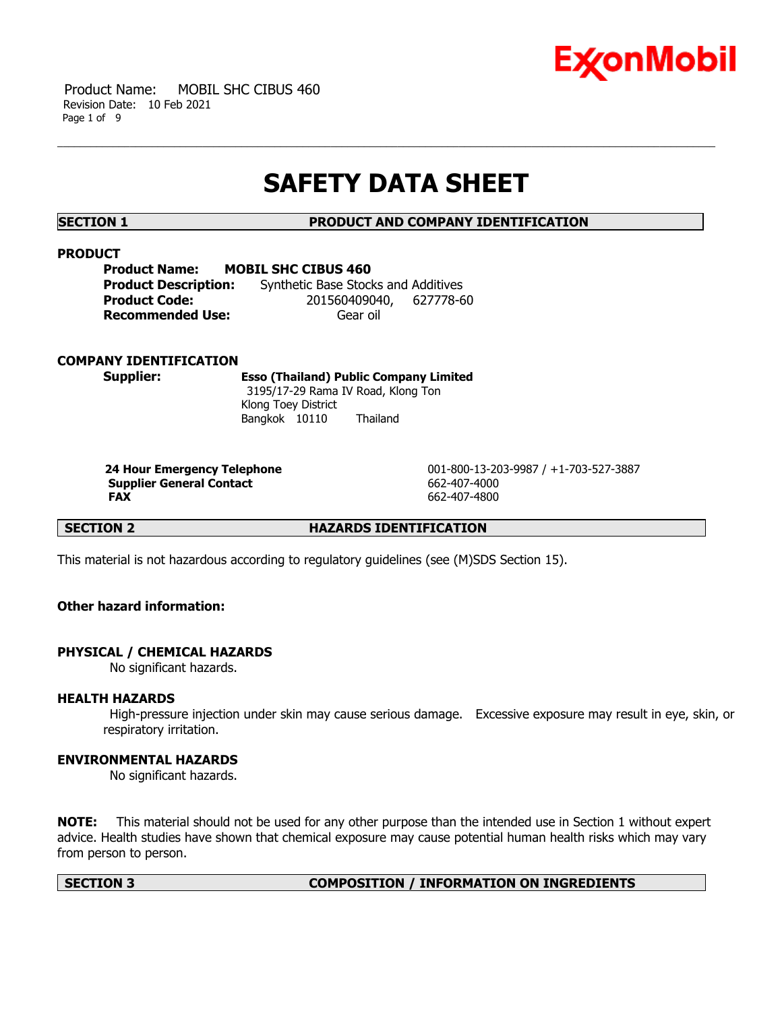

 Product Name: MOBIL SHC CIBUS 460 Revision Date: 10 Feb 2021 Page 1 of 9

# **SAFETY DATA SHEET**

**SECTION 1 PRODUCT AND COMPANY IDENTIFICATION**

### **PRODUCT**

| <b>Product Name:</b>        | <b>MOBIL SHC CIBUS 460</b>          |  |
|-----------------------------|-------------------------------------|--|
| <b>Product Description:</b> | Synthetic Base Stocks and Additives |  |
| <b>Product Code:</b>        | 201560409040, 627778-60             |  |
| <b>Recommended Use:</b>     | Gear oil                            |  |

### **COMPANY IDENTIFICATION**

**Supplier: Esso (Thailand) Public Company Limited** 3195/17-29 Rama IV Road, Klong Ton Klong Toey District Bangkok 10110 Thailand

**Supplier General Contact** 662-407-4000 **FAX** 662-407-4800

 **24 Hour Emergency Telephone** 001-800-13-203-9987 / +1-703-527-3887

**SECTION 2 HAZARDS IDENTIFICATION** 

This material is not hazardous according to regulatory guidelines (see (M)SDS Section 15).

# **Other hazard information:**

### **PHYSICAL / CHEMICAL HAZARDS**

No significant hazards.

### **HEALTH HAZARDS**

 High-pressure injection under skin may cause serious damage. Excessive exposure may result in eye, skin, or respiratory irritation.

# **ENVIRONMENTAL HAZARDS**

No significant hazards.

**NOTE:** This material should not be used for any other purpose than the intended use in Section 1 without expert advice. Health studies have shown that chemical exposure may cause potential human health risks which may vary from person to person.

#### **SECTION 3 COMPOSITION / INFORMATION ON INGREDIENTS**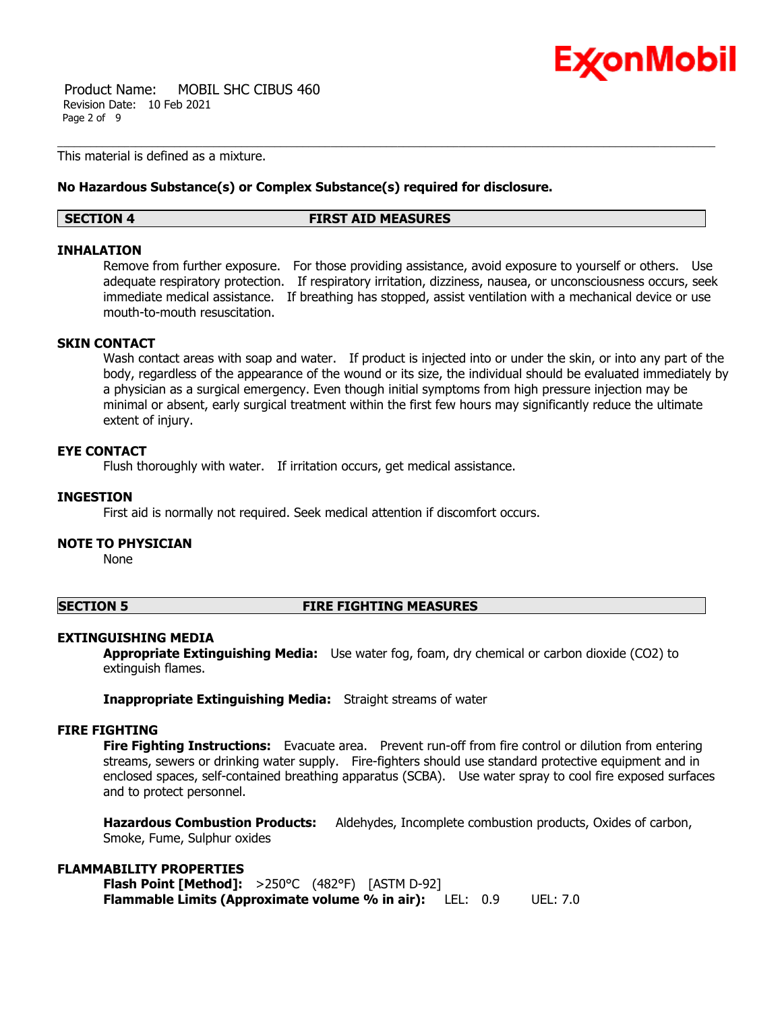

 Product Name: MOBIL SHC CIBUS 460 Revision Date: 10 Feb 2021 Page 2 of 9

This material is defined as a mixture.

### **No Hazardous Substance(s) or Complex Substance(s) required for disclosure.**

#### **SECTION 4 FIRST AID MEASURES**

### **INHALATION**

Remove from further exposure. For those providing assistance, avoid exposure to yourself or others. Use adequate respiratory protection. If respiratory irritation, dizziness, nausea, or unconsciousness occurs, seek immediate medical assistance. If breathing has stopped, assist ventilation with a mechanical device or use mouth-to-mouth resuscitation.

# **SKIN CONTACT**

Wash contact areas with soap and water. If product is injected into or under the skin, or into any part of the body, regardless of the appearance of the wound or its size, the individual should be evaluated immediately by a physician as a surgical emergency. Even though initial symptoms from high pressure injection may be minimal or absent, early surgical treatment within the first few hours may significantly reduce the ultimate extent of injury.

# **EYE CONTACT**

Flush thoroughly with water. If irritation occurs, get medical assistance.

# **INGESTION**

First aid is normally not required. Seek medical attention if discomfort occurs.

# **NOTE TO PHYSICIAN**

None

### **SECTION 5 FIRE FIGHTING MEASURES**

### **EXTINGUISHING MEDIA**

**Appropriate Extinguishing Media:** Use water fog, foam, dry chemical or carbon dioxide (CO2) to extinguish flames.

**Inappropriate Extinguishing Media:** Straight streams of water

### **FIRE FIGHTING**

**Fire Fighting Instructions:** Evacuate area. Prevent run-off from fire control or dilution from entering streams, sewers or drinking water supply. Fire-fighters should use standard protective equipment and in enclosed spaces, self-contained breathing apparatus (SCBA). Use water spray to cool fire exposed surfaces and to protect personnel.

**Hazardous Combustion Products:** Aldehydes, Incomplete combustion products, Oxides of carbon, Smoke, Fume, Sulphur oxides

# **FLAMMABILITY PROPERTIES**

**Flash Point [Method]:** >250°C (482°F) [ASTM D-92] **Flammable Limits (Approximate volume % in air):** LEL: 0.9 UEL: 7.0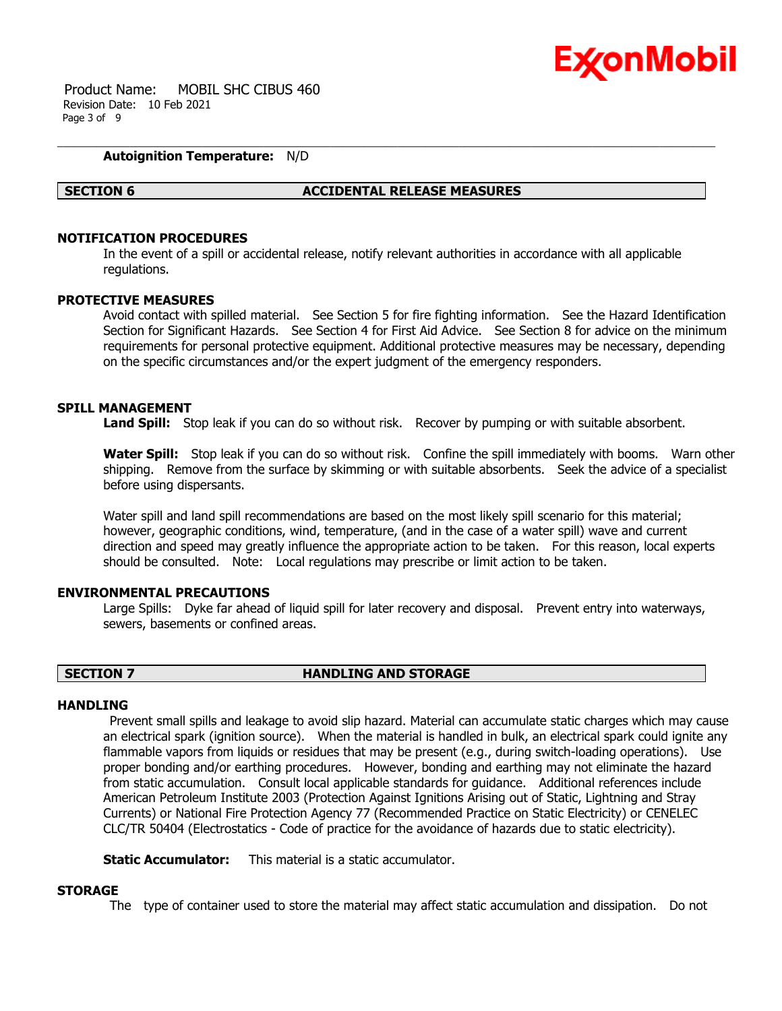

 Product Name: MOBIL SHC CIBUS 460 Revision Date: 10 Feb 2021 Page 3 of 9

### **Autoignition Temperature:** N/D

#### **SECTION 6 ACCIDENTAL RELEASE MEASURES**

# **NOTIFICATION PROCEDURES**

In the event of a spill or accidental release, notify relevant authorities in accordance with all applicable regulations.

#### **PROTECTIVE MEASURES**

Avoid contact with spilled material. See Section 5 for fire fighting information. See the Hazard Identification Section for Significant Hazards. See Section 4 for First Aid Advice. See Section 8 for advice on the minimum requirements for personal protective equipment. Additional protective measures may be necessary, depending on the specific circumstances and/or the expert judgment of the emergency responders.

#### **SPILL MANAGEMENT**

Land Spill: Stop leak if you can do so without risk. Recover by pumping or with suitable absorbent.

**Water Spill:** Stop leak if you can do so without risk. Confine the spill immediately with booms. Warn other shipping. Remove from the surface by skimming or with suitable absorbents. Seek the advice of a specialist before using dispersants.

Water spill and land spill recommendations are based on the most likely spill scenario for this material; however, geographic conditions, wind, temperature, (and in the case of a water spill) wave and current direction and speed may greatly influence the appropriate action to be taken. For this reason, local experts should be consulted. Note: Local regulations may prescribe or limit action to be taken.

#### **ENVIRONMENTAL PRECAUTIONS**

Large Spills: Dyke far ahead of liquid spill for later recovery and disposal. Prevent entry into waterways, sewers, basements or confined areas.

# **SECTION 7 HANDLING AND STORAGE**

#### **HANDI TNG**

 Prevent small spills and leakage to avoid slip hazard. Material can accumulate static charges which may cause an electrical spark (ignition source). When the material is handled in bulk, an electrical spark could ignite any flammable vapors from liquids or residues that may be present (e.g., during switch-loading operations). Use proper bonding and/or earthing procedures. However, bonding and earthing may not eliminate the hazard from static accumulation. Consult local applicable standards for guidance. Additional references include American Petroleum Institute 2003 (Protection Against Ignitions Arising out of Static, Lightning and Stray Currents) or National Fire Protection Agency 77 (Recommended Practice on Static Electricity) or CENELEC CLC/TR 50404 (Electrostatics - Code of practice for the avoidance of hazards due to static electricity).

**Static Accumulator:** This material is a static accumulator.

#### **STORAGE**

The type of container used to store the material may affect static accumulation and dissipation. Do not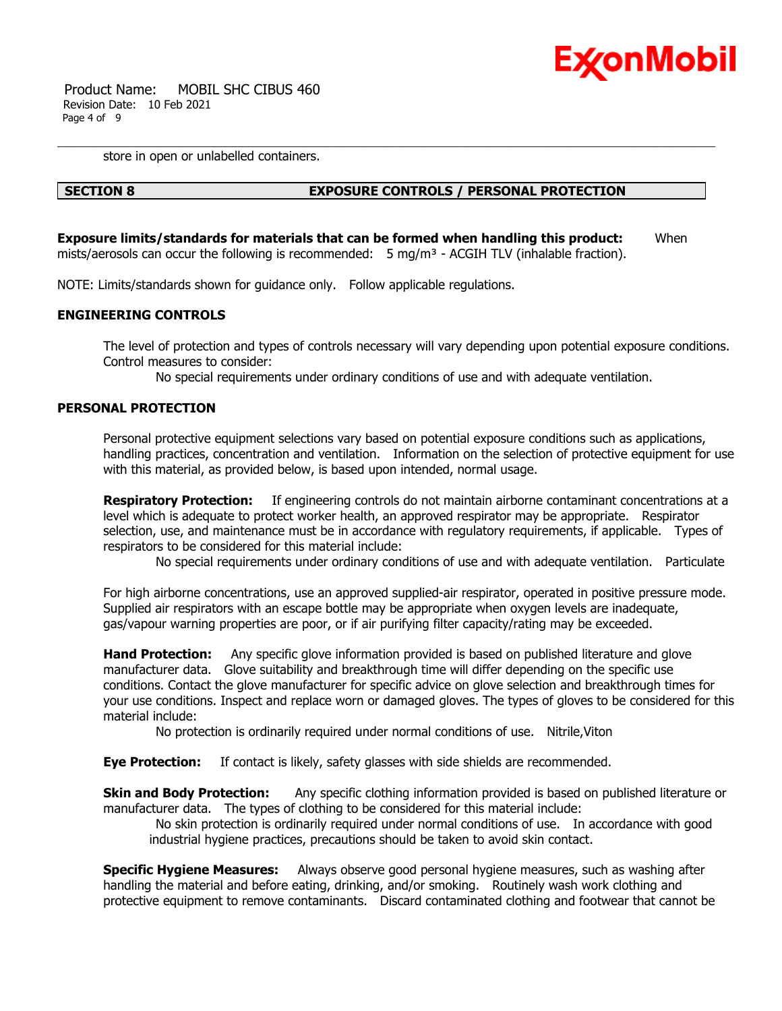

 Product Name: MOBIL SHC CIBUS 460 Revision Date: 10 Feb 2021 Page 4 of 9

store in open or unlabelled containers.

# **SECTION 8 EXPOSURE CONTROLS / PERSONAL PROTECTION**

**Exposure limits/standards for materials that can be formed when handling this product:** When mists/aerosols can occur the following is recommended:  $5 \text{ mg/m}^3$  - ACGIH TLV (inhalable fraction).

NOTE: Limits/standards shown for guidance only. Follow applicable regulations.

# **ENGINEERING CONTROLS**

The level of protection and types of controls necessary will vary depending upon potential exposure conditions. Control measures to consider:

No special requirements under ordinary conditions of use and with adequate ventilation.

### **PERSONAL PROTECTION**

Personal protective equipment selections vary based on potential exposure conditions such as applications, handling practices, concentration and ventilation. Information on the selection of protective equipment for use with this material, as provided below, is based upon intended, normal usage.

**Respiratory Protection:** If engineering controls do not maintain airborne contaminant concentrations at a level which is adequate to protect worker health, an approved respirator may be appropriate. Respirator selection, use, and maintenance must be in accordance with regulatory requirements, if applicable. Types of respirators to be considered for this material include:

No special requirements under ordinary conditions of use and with adequate ventilation. Particulate

For high airborne concentrations, use an approved supplied-air respirator, operated in positive pressure mode. Supplied air respirators with an escape bottle may be appropriate when oxygen levels are inadequate, gas/vapour warning properties are poor, or if air purifying filter capacity/rating may be exceeded.

**Hand Protection:** Any specific glove information provided is based on published literature and glove manufacturer data. Glove suitability and breakthrough time will differ depending on the specific use conditions. Contact the glove manufacturer for specific advice on glove selection and breakthrough times for your use conditions. Inspect and replace worn or damaged gloves. The types of gloves to be considered for this material include:

No protection is ordinarily required under normal conditions of use. Nitrile,Viton

**Eye Protection:** If contact is likely, safety glasses with side shields are recommended.

**Skin and Body Protection:** Any specific clothing information provided is based on published literature or manufacturer data. The types of clothing to be considered for this material include:

 No skin protection is ordinarily required under normal conditions of use. In accordance with good industrial hygiene practices, precautions should be taken to avoid skin contact.

**Specific Hygiene Measures:** Always observe good personal hygiene measures, such as washing after handling the material and before eating, drinking, and/or smoking. Routinely wash work clothing and protective equipment to remove contaminants. Discard contaminated clothing and footwear that cannot be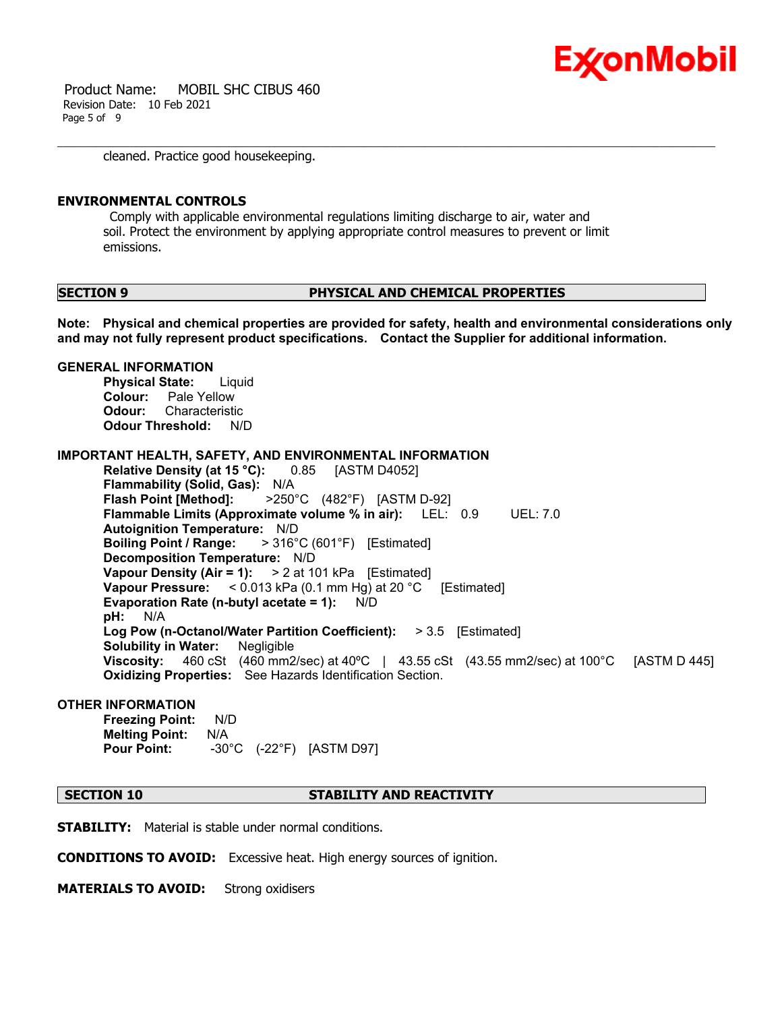

 Product Name: MOBIL SHC CIBUS 460 Revision Date: 10 Feb 2021 Page 5 of 9

cleaned. Practice good housekeeping.

#### **ENVIRONMENTAL CONTROLS**

 Comply with applicable environmental regulations limiting discharge to air, water and soil. Protect the environment by applying appropriate control measures to prevent or limit emissions.

#### **SECTION 9 PHYSICAL AND CHEMICAL PROPERTIES**

**Note: Physical and chemical properties are provided for safety, health and environmental considerations only and may not fully represent product specifications. Contact the Supplier for additional information.**

#### **GENERAL INFORMATION**

**Physical State:** Liquid **Colour:** Pale Yellow **Odour:** Characteristic **Odour Threshold:** N/D

**IMPORTANT HEALTH, SAFETY, AND ENVIRONMENTAL INFORMATION**

**Relative Density (at 15 °C):** 0.85 [ASTM D4052] **Flammability (Solid, Gas):** N/A **Flash Point [Method]:** >250°C (482°F) [ASTM D-92] **Flammable Limits (Approximate volume % in air):** LEL: 0.9 UEL: 7.0 **Autoignition Temperature:** N/D **Boiling Point / Range:** > 316°C (601°F) [Estimated] **Decomposition Temperature:** N/D **Vapour Density (Air = 1):** > 2 at 101 kPa [Estimated] **Vapour Pressure:** < 0.013 kPa (0.1 mm Hg) at 20 °C [Estimated] **Evaporation Rate (n-butyl acetate = 1):** N/D **pH:** N/A **Log Pow (n-Octanol/Water Partition Coefficient):** > 3.5 [Estimated] **Solubility in Water:** Negligible **Viscosity:** 460 cSt (460 mm2/sec) at 40ºC | 43.55 cSt (43.55 mm2/sec) at 100°C [ASTM D 445] **Oxidizing Properties:** See Hazards Identification Section.

#### **OTHER INFORMATION**

**Freezing Point:** N/D **Melting Point:** N/A **Pour Point:** -30°C (-22°F) [ASTM D97]

# **SECTION 10 STABILITY AND REACTIVITY**

**STABILITY:** Material is stable under normal conditions.

**CONDITIONS TO AVOID:** Excessive heat. High energy sources of ignition.

**MATERIALS TO AVOID:** Strong oxidisers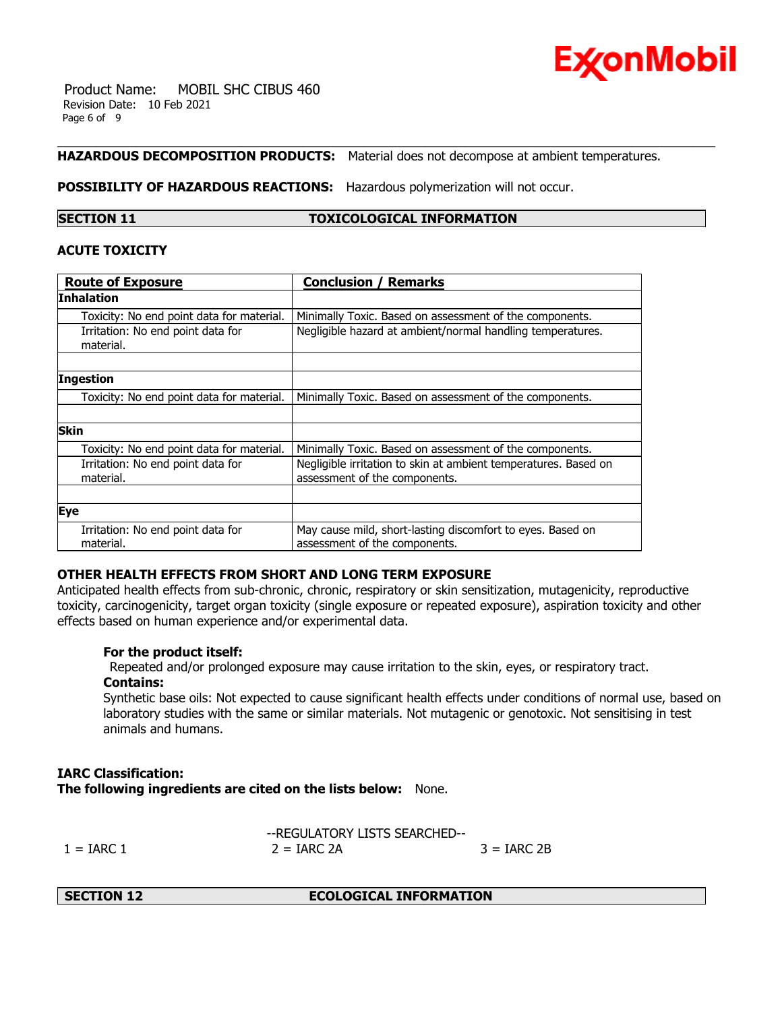

 Product Name: MOBIL SHC CIBUS 460 Revision Date: 10 Feb 2021 Page 6 of 9

# **HAZARDOUS DECOMPOSITION PRODUCTS:** Material does not decompose at ambient temperatures.

**POSSIBILITY OF HAZARDOUS REACTIONS:** Hazardous polymerization will not occur.

# **SECTION 11 TOXICOLOGICAL INFORMATION**

### **ACUTE TOXICITY**

| <b>Route of Exposure</b>                       | <b>Conclusion / Remarks</b>                                                                      |
|------------------------------------------------|--------------------------------------------------------------------------------------------------|
| Inhalation                                     |                                                                                                  |
| Toxicity: No end point data for material.      | Minimally Toxic. Based on assessment of the components.                                          |
| Irritation: No end point data for<br>material. | Negligible hazard at ambient/normal handling temperatures.                                       |
|                                                |                                                                                                  |
| <b>Ingestion</b>                               |                                                                                                  |
| Toxicity: No end point data for material.      | Minimally Toxic. Based on assessment of the components.                                          |
|                                                |                                                                                                  |
| <b>Skin</b>                                    |                                                                                                  |
| Toxicity: No end point data for material.      | Minimally Toxic. Based on assessment of the components.                                          |
| Irritation: No end point data for<br>material. | Negligible irritation to skin at ambient temperatures. Based on<br>assessment of the components. |
|                                                |                                                                                                  |
| <b>Eye</b>                                     |                                                                                                  |
| Irritation: No end point data for<br>material. | May cause mild, short-lasting discomfort to eyes. Based on<br>assessment of the components.      |

### **OTHER HEALTH EFFECTS FROM SHORT AND LONG TERM EXPOSURE**

Anticipated health effects from sub-chronic, chronic, respiratory or skin sensitization, mutagenicity, reproductive toxicity, carcinogenicity, target organ toxicity (single exposure or repeated exposure), aspiration toxicity and other effects based on human experience and/or experimental data.

### **For the product itself:**

 Repeated and/or prolonged exposure may cause irritation to the skin, eyes, or respiratory tract. **Contains:**

Synthetic base oils: Not expected to cause significant health effects under conditions of normal use, based on laboratory studies with the same or similar materials. Not mutagenic or genotoxic. Not sensitising in test animals and humans.

# **IARC Classification: The following ingredients are cited on the lists below:** None.

--REGULATORY LISTS SEARCHED--  $1 = \text{IARC } 1$   $2 = \text{IARC } 2\text{A}$   $3 = \text{IARC } 2\text{B}$ 

**SECTION 12 ECOLOGICAL INFORMATION**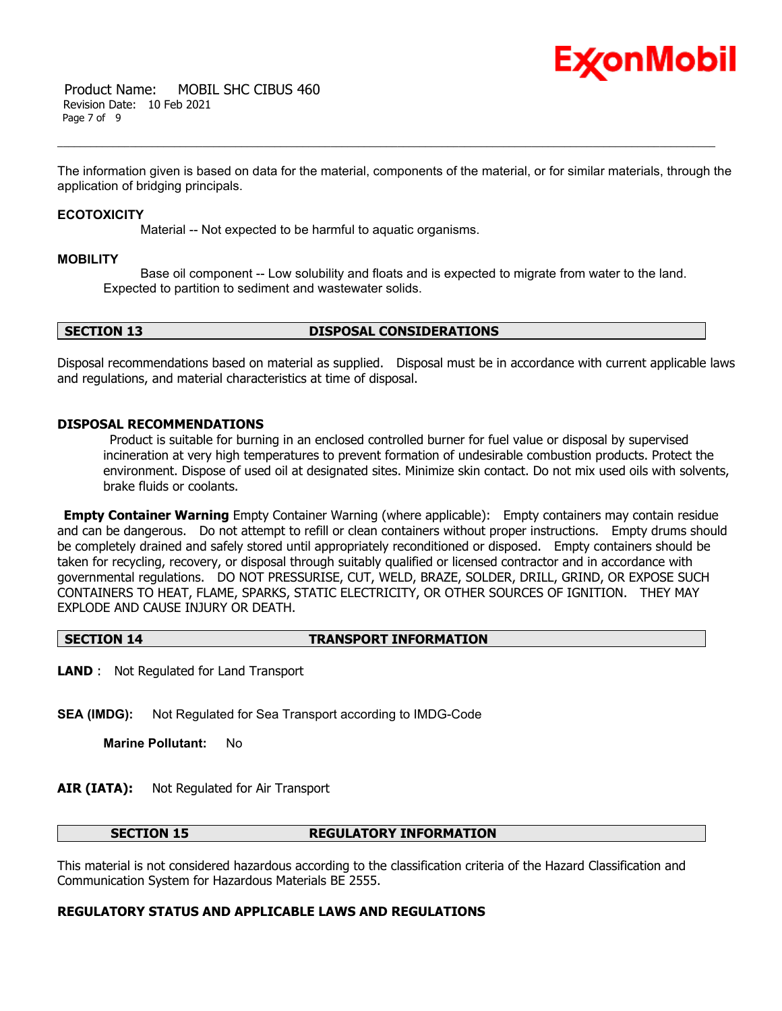

The information given is based on data for the material, components of the material, or for similar materials, through the application of bridging principals.

#### **ECOTOXICITY**

Material -- Not expected to be harmful to aquatic organisms.

#### **MOBILITY**

 Base oil component -- Low solubility and floats and is expected to migrate from water to the land. Expected to partition to sediment and wastewater solids.

# **SECTION 13 DISPOSAL CONSIDERATIONS**

Disposal recommendations based on material as supplied. Disposal must be in accordance with current applicable laws and regulations, and material characteristics at time of disposal.

### **DISPOSAL RECOMMENDATIONS**

 Product is suitable for burning in an enclosed controlled burner for fuel value or disposal by supervised incineration at very high temperatures to prevent formation of undesirable combustion products. Protect the environment. Dispose of used oil at designated sites. Minimize skin contact. Do not mix used oils with solvents, brake fluids or coolants.

**Empty Container Warning** Empty Container Warning (where applicable): Empty containers may contain residue and can be dangerous. Do not attempt to refill or clean containers without proper instructions. Empty drums should be completely drained and safely stored until appropriately reconditioned or disposed. Empty containers should be taken for recycling, recovery, or disposal through suitably qualified or licensed contractor and in accordance with governmental regulations. DO NOT PRESSURISE, CUT, WELD, BRAZE, SOLDER, DRILL, GRIND, OR EXPOSE SUCH CONTAINERS TO HEAT, FLAME, SPARKS, STATIC ELECTRICITY, OR OTHER SOURCES OF IGNITION. THEY MAY EXPLODE AND CAUSE INJURY OR DEATH.

#### **SECTION 14 TRANSPORT INFORMATION**

**LAND** : Not Regulated for Land Transport

**SEA (IMDG):** Not Regulated for Sea Transport according to IMDG-Code

**Marine Pollutant:** No

### **AIR (IATA):** Not Regulated for Air Transport

#### **SECTION 15 REGULATORY INFORMATION**

This material is not considered hazardous according to the classification criteria of the Hazard Classification and Communication System for Hazardous Materials BE 2555.

# **REGULATORY STATUS AND APPLICABLE LAWS AND REGULATIONS**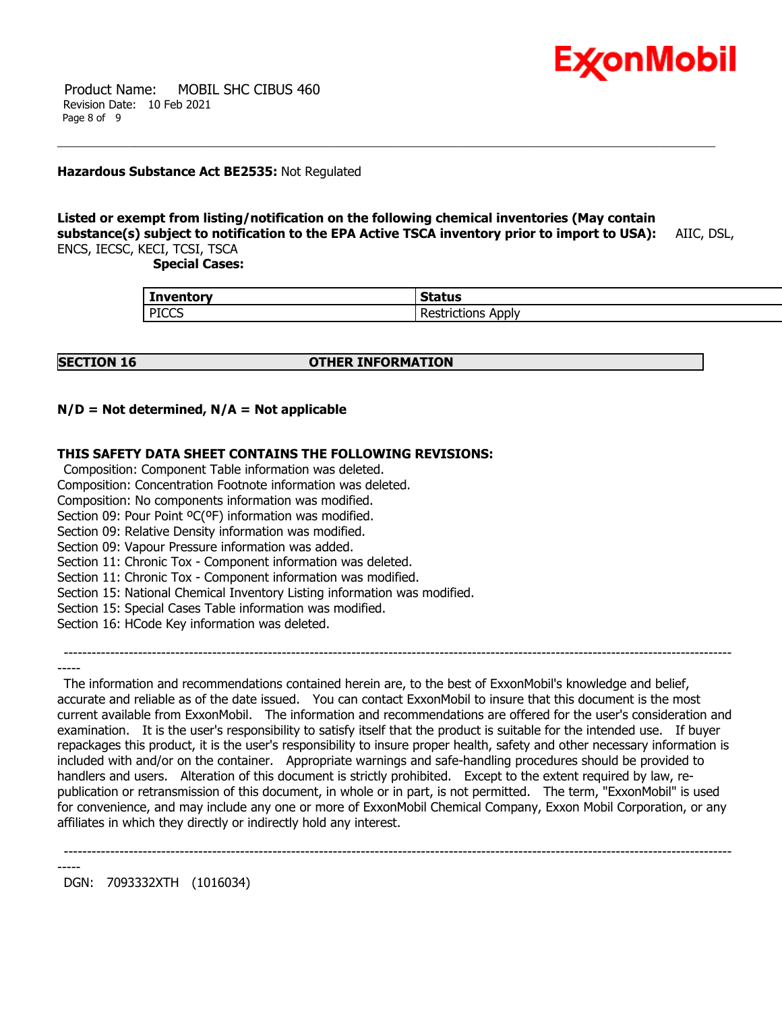

 Product Name: MOBIL SHC CIBUS 460 Revision Date: 10 Feb 2021 Page 8 of 9

### **Hazardous Substance Act BE2535:** Not Regulated

### **Listed or exempt from listing/notification on the following chemical inventories (May contain substance(s) subject to notification to the EPA Active TSCA inventory prior to import to USA):** AIIC, DSL, ENCS, IECSC, KECI, TCSI, TSCA

 **Special Cases:**

| <b>Inventory</b> | <b>Status</b>          |
|------------------|------------------------|
| <b>PICCS</b>     | . .<br>-<br>Applv<br>. |

### **SECTION 16 OTHER INFORMATION**

# **N/D = Not determined, N/A = Not applicable**

# **THIS SAFETY DATA SHEET CONTAINS THE FOLLOWING REVISIONS:**

Composition: Component Table information was deleted.

Composition: Concentration Footnote information was deleted.

Composition: No components information was modified.

Section 09: Pour Point <sup>o</sup>C(°F) information was modified.

Section 09: Relative Density information was modified.

Section 09: Vapour Pressure information was added.

Section 11: Chronic Tox - Component information was deleted.

Section 11: Chronic Tox - Component information was modified.

Section 15: National Chemical Inventory Listing information was modified.

Section 15: Special Cases Table information was modified.

Section 16: HCode Key information was deleted.

-----

 The information and recommendations contained herein are, to the best of ExxonMobil's knowledge and belief, accurate and reliable as of the date issued. You can contact ExxonMobil to insure that this document is the most current available from ExxonMobil. The information and recommendations are offered for the user's consideration and examination. It is the user's responsibility to satisfy itself that the product is suitable for the intended use. If buyer repackages this product, it is the user's responsibility to insure proper health, safety and other necessary information is included with and/or on the container. Appropriate warnings and safe-handling procedures should be provided to handlers and users. Alteration of this document is strictly prohibited. Except to the extent required by law, republication or retransmission of this document, in whole or in part, is not permitted. The term, "ExxonMobil" is used for convenience, and may include any one or more of ExxonMobil Chemical Company, Exxon Mobil Corporation, or any affiliates in which they directly or indirectly hold any interest.

------------------------------------------------------------------------------------------------------------------------------------------------

------------------------------------------------------------------------------------------------------------------------------------------------

DGN: 7093332XTH (1016034)